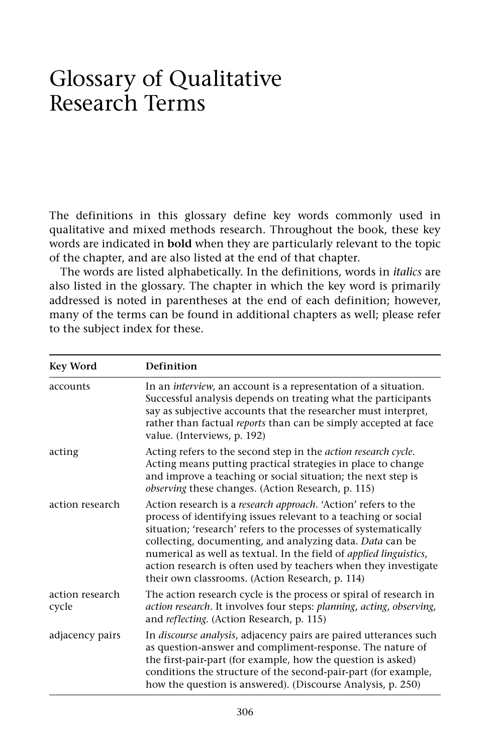## Glossary of Qualitative Research Terms

The definitions in this glossary define key words commonly used in qualitative and mixed methods research. Throughout the book, these key words are indicated in **bold** when they are particularly relevant to the topic of the chapter, and are also listed at the end of that chapter.

The words are listed alphabetically. In the definitions, words in *italics* are also listed in the glossary. The chapter in which the key word is primarily addressed is noted in parentheses at the end of each definition; however, many of the terms can be found in additional chapters as well; please refer to the subject index for these.

| <b>Key Word</b>          | Definition                                                                                                                                                                                                                                                                                                                                                                                                                                                  |
|--------------------------|-------------------------------------------------------------------------------------------------------------------------------------------------------------------------------------------------------------------------------------------------------------------------------------------------------------------------------------------------------------------------------------------------------------------------------------------------------------|
| accounts                 | In an <i>interview</i> , an account is a representation of a situation.<br>Successful analysis depends on treating what the participants<br>say as subjective accounts that the researcher must interpret,<br>rather than factual reports than can be simply accepted at face<br>value. (Interviews, p. 192)                                                                                                                                                |
| acting                   | Acting refers to the second step in the <i>action research cycle</i> .<br>Acting means putting practical strategies in place to change<br>and improve a teaching or social situation; the next step is<br>observing these changes. (Action Research, p. 115)                                                                                                                                                                                                |
| action research          | Action research is a research approach. 'Action' refers to the<br>process of identifying issues relevant to a teaching or social<br>situation; 'research' refers to the processes of systematically<br>collecting, documenting, and analyzing data. Data can be<br>numerical as well as textual. In the field of applied linguistics,<br>action research is often used by teachers when they investigate<br>their own classrooms. (Action Research, p. 114) |
| action research<br>cycle | The action research cycle is the process or spiral of research in<br>action research. It involves four steps: planning, acting, observing,<br>and reflecting. (Action Research, p. 115)                                                                                                                                                                                                                                                                     |
| adjacency pairs          | In <i>discourse analysis</i> , adjacency pairs are paired utterances such<br>as question-answer and compliment-response. The nature of<br>the first-pair-part (for example, how the question is asked)<br>conditions the structure of the second-pair-part (for example,<br>how the question is answered). (Discourse Analysis, p. 250)                                                                                                                     |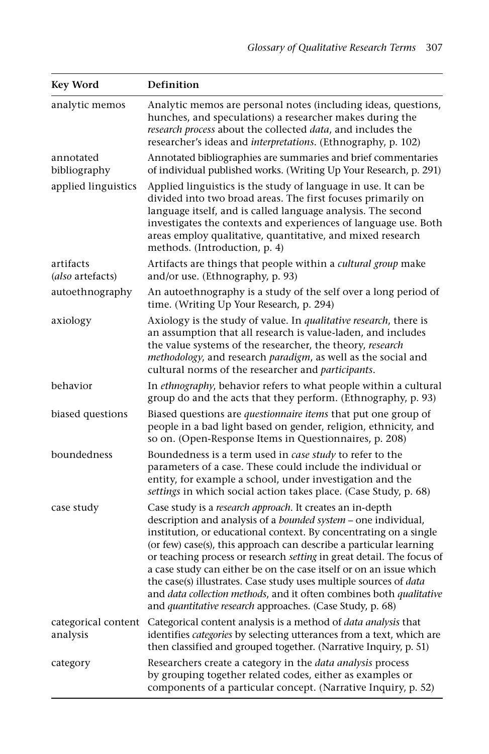| <b>Key Word</b>                       | Definition                                                                                                                                                                                                                                                                                                                                                                                                                                                                                                                                                                                                                            |
|---------------------------------------|---------------------------------------------------------------------------------------------------------------------------------------------------------------------------------------------------------------------------------------------------------------------------------------------------------------------------------------------------------------------------------------------------------------------------------------------------------------------------------------------------------------------------------------------------------------------------------------------------------------------------------------|
| analytic memos                        | Analytic memos are personal notes (including ideas, questions,<br>hunches, and speculations) a researcher makes during the<br>research process about the collected data, and includes the<br>researcher's ideas and interpretations. (Ethnography, p. 102)                                                                                                                                                                                                                                                                                                                                                                            |
| annotated<br>bibliography             | Annotated bibliographies are summaries and brief commentaries<br>of individual published works. (Writing Up Your Research, p. 291)                                                                                                                                                                                                                                                                                                                                                                                                                                                                                                    |
| applied linguistics                   | Applied linguistics is the study of language in use. It can be<br>divided into two broad areas. The first focuses primarily on<br>language itself, and is called language analysis. The second<br>investigates the contexts and experiences of language use. Both<br>areas employ qualitative, quantitative, and mixed research<br>methods. (Introduction, p. 4)                                                                                                                                                                                                                                                                      |
| artifacts<br>( <i>also</i> artefacts) | Artifacts are things that people within a cultural group make<br>and/or use. (Ethnography, p. 93)                                                                                                                                                                                                                                                                                                                                                                                                                                                                                                                                     |
| autoethnography                       | An autoethnography is a study of the self over a long period of<br>time. (Writing Up Your Research, p. 294)                                                                                                                                                                                                                                                                                                                                                                                                                                                                                                                           |
| axiology                              | Axiology is the study of value. In qualitative research, there is<br>an assumption that all research is value-laden, and includes<br>the value systems of the researcher, the theory, research<br>methodology, and research paradigm, as well as the social and<br>cultural norms of the researcher and <i>participants</i> .                                                                                                                                                                                                                                                                                                         |
| behavior                              | In ethnography, behavior refers to what people within a cultural<br>group do and the acts that they perform. (Ethnography, p. 93)                                                                                                                                                                                                                                                                                                                                                                                                                                                                                                     |
| biased questions                      | Biased questions are <i>questionnaire items</i> that put one group of<br>people in a bad light based on gender, religion, ethnicity, and<br>so on. (Open-Response Items in Questionnaires, p. 208)                                                                                                                                                                                                                                                                                                                                                                                                                                    |
| boundedness                           | Boundedness is a term used in <i>case study</i> to refer to the<br>parameters of a case. These could include the individual or<br>entity, for example a school, under investigation and the<br>settings in which social action takes place. (Case Study, p. 68)                                                                                                                                                                                                                                                                                                                                                                       |
| case study                            | Case study is a research approach. It creates an in-depth<br>description and analysis of a <i>bounded system</i> - one individual,<br>institution, or educational context. By concentrating on a single<br>(or few) case(s), this approach can describe a particular learning<br>or teaching process or research setting in great detail. The focus of<br>a case study can either be on the case itself or on an issue which<br>the case(s) illustrates. Case study uses multiple sources of data<br>and data collection methods, and it often combines both qualitative<br>and quantitative research approaches. (Case Study, p. 68) |
| categorical content<br>analysis       | Categorical content analysis is a method of <i>data analysis</i> that<br>identifies categories by selecting utterances from a text, which are<br>then classified and grouped together. (Narrative Inquiry, p. 51)                                                                                                                                                                                                                                                                                                                                                                                                                     |
| category                              | Researchers create a category in the <i>data analysis</i> process<br>by grouping together related codes, either as examples or<br>components of a particular concept. (Narrative Inquiry, p. 52)                                                                                                                                                                                                                                                                                                                                                                                                                                      |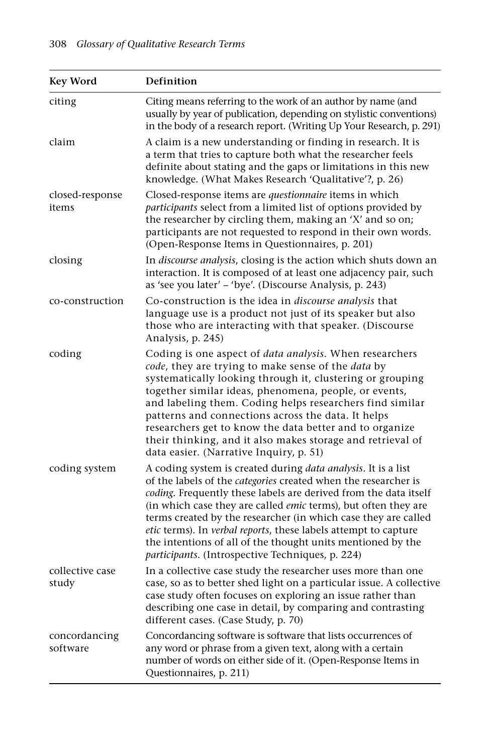| <b>Key Word</b>           | Definition                                                                                                                                                                                                                                                                                                                                                                                                                                                                                                                    |
|---------------------------|-------------------------------------------------------------------------------------------------------------------------------------------------------------------------------------------------------------------------------------------------------------------------------------------------------------------------------------------------------------------------------------------------------------------------------------------------------------------------------------------------------------------------------|
| citing                    | Citing means referring to the work of an author by name (and<br>usually by year of publication, depending on stylistic conventions)<br>in the body of a research report. (Writing Up Your Research, p. 291)                                                                                                                                                                                                                                                                                                                   |
| claim                     | A claim is a new understanding or finding in research. It is<br>a term that tries to capture both what the researcher feels<br>definite about stating and the gaps or limitations in this new<br>knowledge. (What Makes Research 'Qualitative'?, p. 26)                                                                                                                                                                                                                                                                       |
| closed-response<br>items  | Closed-response items are questionnaire items in which<br>participants select from a limited list of options provided by<br>the researcher by circling them, making an 'X' and so on;<br>participants are not requested to respond in their own words.<br>(Open-Response Items in Questionnaires, p. 201)                                                                                                                                                                                                                     |
| closing                   | In <i>discourse analysis</i> , closing is the action which shuts down an<br>interaction. It is composed of at least one adjacency pair, such<br>as 'see you later' - 'bye'. (Discourse Analysis, p. 243)                                                                                                                                                                                                                                                                                                                      |
| co-construction           | Co-construction is the idea in discourse analysis that<br>language use is a product not just of its speaker but also<br>those who are interacting with that speaker. (Discourse<br>Analysis, p. 245)                                                                                                                                                                                                                                                                                                                          |
| coding                    | Coding is one aspect of data analysis. When researchers<br>code, they are trying to make sense of the data by<br>systematically looking through it, clustering or grouping<br>together similar ideas, phenomena, people, or events,<br>and labeling them. Coding helps researchers find similar<br>patterns and connections across the data. It helps<br>researchers get to know the data better and to organize<br>their thinking, and it also makes storage and retrieval of<br>data easier. (Narrative Inquiry, p. 51)     |
| coding system             | A coding system is created during data analysis. It is a list<br>of the labels of the categories created when the researcher is<br>coding. Frequently these labels are derived from the data itself<br>(in which case they are called emic terms), but often they are<br>terms created by the researcher (in which case they are called<br>etic terms). In verbal reports, these labels attempt to capture<br>the intentions of all of the thought units mentioned by the<br>participants. (Introspective Techniques, p. 224) |
| collective case<br>study  | In a collective case study the researcher uses more than one<br>case, so as to better shed light on a particular issue. A collective<br>case study often focuses on exploring an issue rather than<br>describing one case in detail, by comparing and contrasting<br>different cases. (Case Study, p. 70)                                                                                                                                                                                                                     |
| concordancing<br>software | Concordancing software is software that lists occurrences of<br>any word or phrase from a given text, along with a certain<br>number of words on either side of it. (Open-Response Items in<br>Questionnaires, p. 211)                                                                                                                                                                                                                                                                                                        |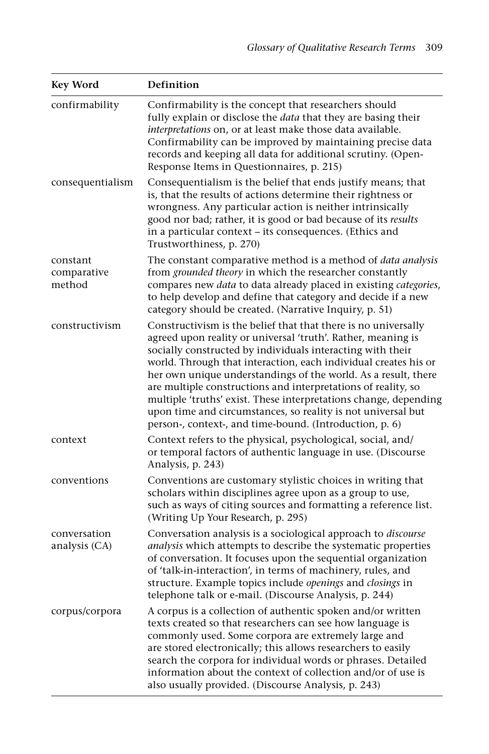| <b>Key Word</b>                   | Definition                                                                                                                                                                                                                                                                                                                                                                                                                                                                                                                                                                                        |
|-----------------------------------|---------------------------------------------------------------------------------------------------------------------------------------------------------------------------------------------------------------------------------------------------------------------------------------------------------------------------------------------------------------------------------------------------------------------------------------------------------------------------------------------------------------------------------------------------------------------------------------------------|
| confirmability                    | Confirmability is the concept that researchers should<br>fully explain or disclose the <i>data</i> that they are basing their<br>interpretations on, or at least make those data available.<br>Confirmability can be improved by maintaining precise data<br>records and keeping all data for additional scrutiny. (Open-<br>Response Items in Questionnaires, p. 215)                                                                                                                                                                                                                            |
| consequentialism                  | Consequentialism is the belief that ends justify means; that<br>is, that the results of actions determine their rightness or<br>wrongness. Any particular action is neither intrinsically<br>good nor bad; rather, it is good or bad because of its results<br>in a particular context – its consequences. (Ethics and<br>Trustworthiness, p. 270)                                                                                                                                                                                                                                                |
| constant<br>comparative<br>method | The constant comparative method is a method of <i>data analysis</i><br>from <i>grounded theory</i> in which the researcher constantly<br>compares new data to data already placed in existing categories,<br>to help develop and define that category and decide if a new<br>category should be created. (Narrative Inquiry, p. 51)                                                                                                                                                                                                                                                               |
| constructivism                    | Constructivism is the belief that that there is no universally<br>agreed upon reality or universal 'truth'. Rather, meaning is<br>socially constructed by individuals interacting with their<br>world. Through that interaction, each individual creates his or<br>her own unique understandings of the world. As a result, there<br>are multiple constructions and interpretations of reality, so<br>multiple 'truths' exist. These interpretations change, depending<br>upon time and circumstances, so reality is not universal but<br>person-, context-, and time-bound. (Introduction, p. 6) |
| context                           | Context refers to the physical, psychological, social, and/<br>or temporal factors of authentic language in use. (Discourse<br>Analysis, p. 243)                                                                                                                                                                                                                                                                                                                                                                                                                                                  |
| conventions                       | Conventions are customary stylistic choices in writing that<br>scholars within disciplines agree upon as a group to use,<br>such as ways of citing sources and formatting a reference list.<br>(Writing Up Your Research, p. 295)                                                                                                                                                                                                                                                                                                                                                                 |
| conversation<br>analysis (CA)     | Conversation analysis is a sociological approach to discourse<br>analysis which attempts to describe the systematic properties<br>of conversation. It focuses upon the sequential organization<br>of 'talk-in-interaction', in terms of machinery, rules, and<br>structure. Example topics include openings and closings in<br>telephone talk or e-mail. (Discourse Analysis, p. 244)                                                                                                                                                                                                             |
| corpus/corpora                    | A corpus is a collection of authentic spoken and/or written<br>texts created so that researchers can see how language is<br>commonly used. Some corpora are extremely large and<br>are stored electronically; this allows researchers to easily<br>search the corpora for individual words or phrases. Detailed<br>information about the context of collection and/or of use is<br>also usually provided. (Discourse Analysis, p. 243)                                                                                                                                                            |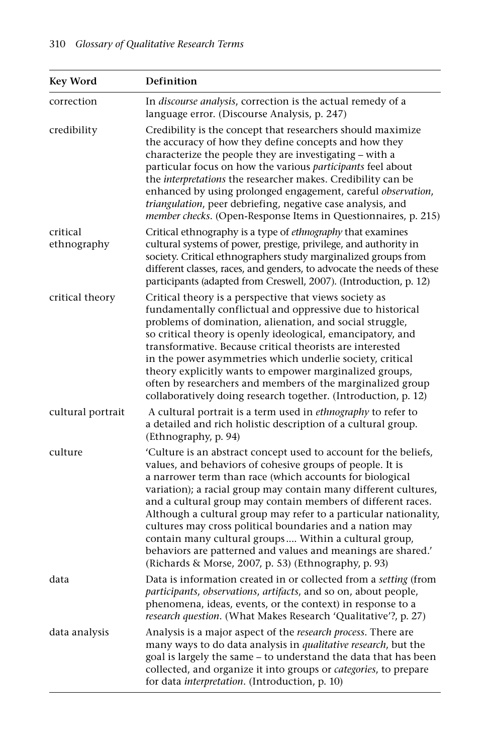| Key Word                | Definition                                                                                                                                                                                                                                                                                                                                                                                                                                                                                                                                                                                                                                    |
|-------------------------|-----------------------------------------------------------------------------------------------------------------------------------------------------------------------------------------------------------------------------------------------------------------------------------------------------------------------------------------------------------------------------------------------------------------------------------------------------------------------------------------------------------------------------------------------------------------------------------------------------------------------------------------------|
| correction              | In discourse analysis, correction is the actual remedy of a<br>language error. (Discourse Analysis, p. 247)                                                                                                                                                                                                                                                                                                                                                                                                                                                                                                                                   |
| credibility             | Credibility is the concept that researchers should maximize<br>the accuracy of how they define concepts and how they<br>characterize the people they are investigating - with a<br>particular focus on how the various <i>participants</i> feel about<br>the interpretations the researcher makes. Credibility can be<br>enhanced by using prolonged engagement, careful observation,<br>triangulation, peer debriefing, negative case analysis, and<br>member checks. (Open-Response Items in Questionnaires, p. 215)                                                                                                                        |
| critical<br>ethnography | Critical ethnography is a type of ethnography that examines<br>cultural systems of power, prestige, privilege, and authority in<br>society. Critical ethnographers study marginalized groups from<br>different classes, races, and genders, to advocate the needs of these<br>participants (adapted from Creswell, 2007). (Introduction, p. 12)                                                                                                                                                                                                                                                                                               |
| critical theory         | Critical theory is a perspective that views society as<br>fundamentally conflictual and oppressive due to historical<br>problems of domination, alienation, and social struggle,<br>so critical theory is openly ideological, emancipatory, and<br>transformative. Because critical theorists are interested<br>in the power asymmetries which underlie society, critical<br>theory explicitly wants to empower marginalized groups,<br>often by researchers and members of the marginalized group<br>collaboratively doing research together. (Introduction, p. 12)                                                                          |
| cultural portrait       | A cultural portrait is a term used in <i>ethnography</i> to refer to<br>a detailed and rich holistic description of a cultural group.<br>(Ethnography, p. 94)                                                                                                                                                                                                                                                                                                                                                                                                                                                                                 |
| culture                 | 'Culture is an abstract concept used to account for the beliefs,<br>values, and behaviors of cohesive groups of people. It is<br>a narrower term than race (which accounts for biological<br>variation); a racial group may contain many different cultures,<br>and a cultural group may contain members of different races.<br>Although a cultural group may refer to a particular nationality,<br>cultures may cross political boundaries and a nation may<br>contain many cultural groups Within a cultural group,<br>behaviors are patterned and values and meanings are shared.'<br>(Richards & Morse, 2007, p. 53) (Ethnography, p. 93) |
| data                    | Data is information created in or collected from a setting (from<br>participants, observations, artifacts, and so on, about people,<br>phenomena, ideas, events, or the context) in response to a<br>research question. (What Makes Research 'Qualitative'?, p. 27)                                                                                                                                                                                                                                                                                                                                                                           |
| data analysis           | Analysis is a major aspect of the research process. There are<br>many ways to do data analysis in qualitative research, but the<br>goal is largely the same - to understand the data that has been<br>collected, and organize it into groups or <i>categories</i> , to prepare<br>for data interpretation. (Introduction, p. 10)                                                                                                                                                                                                                                                                                                              |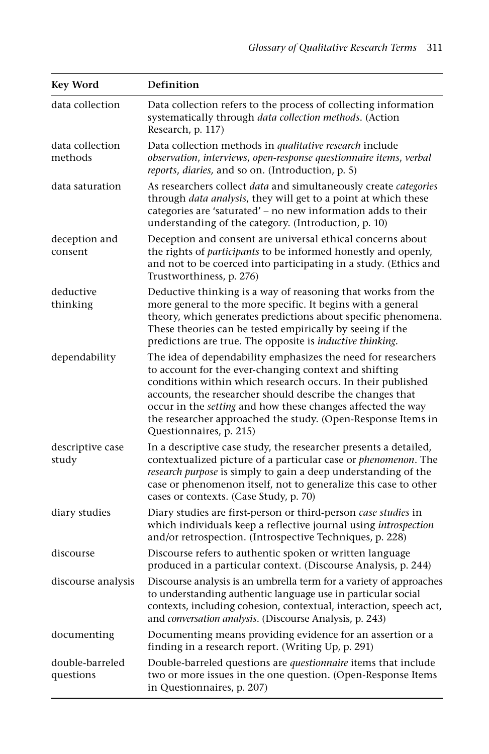| <b>Key Word</b>              | Definition                                                                                                                                                                                                                                                                                                                                                                                                   |
|------------------------------|--------------------------------------------------------------------------------------------------------------------------------------------------------------------------------------------------------------------------------------------------------------------------------------------------------------------------------------------------------------------------------------------------------------|
| data collection              | Data collection refers to the process of collecting information<br>systematically through data collection methods. (Action<br>Research, p. 117)                                                                                                                                                                                                                                                              |
| data collection<br>methods   | Data collection methods in qualitative research include<br>observation, interviews, open-response questionnaire items, verbal<br>reports, diaries, and so on. (Introduction, p. 5)                                                                                                                                                                                                                           |
| data saturation              | As researchers collect <i>data</i> and simultaneously create <i>categories</i><br>through data analysis, they will get to a point at which these<br>categories are 'saturated' - no new information adds to their<br>understanding of the category. (Introduction, p. 10)                                                                                                                                    |
| deception and<br>consent     | Deception and consent are universal ethical concerns about<br>the rights of <i>participants</i> to be informed honestly and openly,<br>and not to be coerced into participating in a study. (Ethics and<br>Trustworthiness, p. 276)                                                                                                                                                                          |
| deductive<br>thinking        | Deductive thinking is a way of reasoning that works from the<br>more general to the more specific. It begins with a general<br>theory, which generates predictions about specific phenomena.<br>These theories can be tested empirically by seeing if the<br>predictions are true. The opposite is <i>inductive thinking</i> .                                                                               |
| dependability                | The idea of dependability emphasizes the need for researchers<br>to account for the ever-changing context and shifting<br>conditions within which research occurs. In their published<br>accounts, the researcher should describe the changes that<br>occur in the setting and how these changes affected the way<br>the researcher approached the study. (Open-Response Items in<br>Questionnaires, p. 215) |
| descriptive case<br>study    | In a descriptive case study, the researcher presents a detailed,<br>contextualized picture of a particular case or phenomenon. The<br>research purpose is simply to gain a deep understanding of the<br>case or phenomenon itself, not to generalize this case to other<br>cases or contexts. (Case Study, p. 70)                                                                                            |
| diary studies                | Diary studies are first-person or third-person case studies in<br>which individuals keep a reflective journal using introspection<br>and/or retrospection. (Introspective Techniques, p. 228)                                                                                                                                                                                                                |
| discourse                    | Discourse refers to authentic spoken or written language<br>produced in a particular context. (Discourse Analysis, p. 244)                                                                                                                                                                                                                                                                                   |
| discourse analysis           | Discourse analysis is an umbrella term for a variety of approaches<br>to understanding authentic language use in particular social<br>contexts, including cohesion, contextual, interaction, speech act,<br>and conversation analysis. (Discourse Analysis, p. 243)                                                                                                                                          |
| documenting                  | Documenting means providing evidence for an assertion or a<br>finding in a research report. (Writing Up, p. 291)                                                                                                                                                                                                                                                                                             |
| double-barreled<br>questions | Double-barreled questions are questionnaire items that include<br>two or more issues in the one question. (Open-Response Items<br>in Questionnaires, p. 207)                                                                                                                                                                                                                                                 |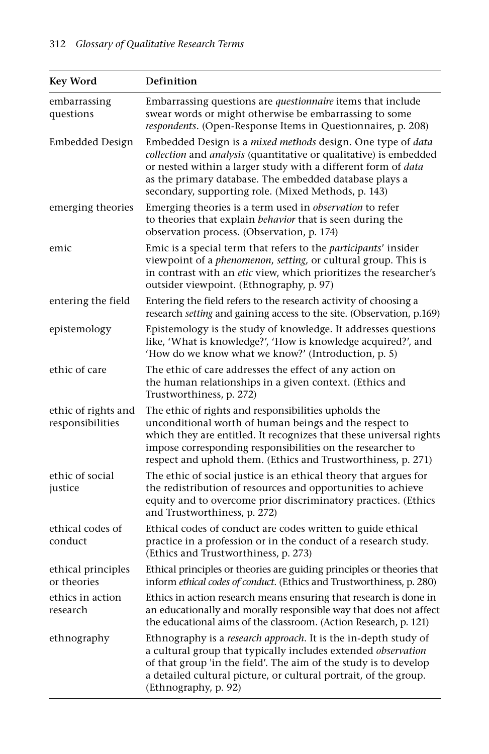| Key Word                                | Definition                                                                                                                                                                                                                                                                                                                |
|-----------------------------------------|---------------------------------------------------------------------------------------------------------------------------------------------------------------------------------------------------------------------------------------------------------------------------------------------------------------------------|
| embarrassing<br>questions               | Embarrassing questions are <i>questionnaire</i> items that include<br>swear words or might otherwise be embarrassing to some<br>respondents. (Open-Response Items in Questionnaires, p. 208)                                                                                                                              |
| Embedded Design                         | Embedded Design is a mixed methods design. One type of data<br>collection and analysis (quantitative or qualitative) is embedded<br>or nested within a larger study with a different form of <i>data</i><br>as the primary database. The embedded database plays a<br>secondary, supporting role. (Mixed Methods, p. 143) |
| emerging theories                       | Emerging theories is a term used in <i>observation</i> to refer<br>to theories that explain <i>behavior</i> that is seen during the<br>observation process. (Observation, p. 174)                                                                                                                                         |
| emic                                    | Emic is a special term that refers to the <i>participants'</i> insider<br>viewpoint of a phenomenon, setting, or cultural group. This is<br>in contrast with an etic view, which prioritizes the researcher's<br>outsider viewpoint. (Ethnography, p. 97)                                                                 |
| entering the field                      | Entering the field refers to the research activity of choosing a<br>research setting and gaining access to the site. (Observation, p.169)                                                                                                                                                                                 |
| epistemology                            | Epistemology is the study of knowledge. It addresses questions<br>like, 'What is knowledge?', 'How is knowledge acquired?', and<br>'How do we know what we know?' (Introduction, p. 5)                                                                                                                                    |
| ethic of care                           | The ethic of care addresses the effect of any action on<br>the human relationships in a given context. (Ethics and<br>Trustworthiness, p. 272)                                                                                                                                                                            |
| ethic of rights and<br>responsibilities | The ethic of rights and responsibilities upholds the<br>unconditional worth of human beings and the respect to<br>which they are entitled. It recognizes that these universal rights<br>impose corresponding responsibilities on the researcher to<br>respect and uphold them. (Ethics and Trustworthiness, p. 271)       |
| ethic of social<br>justice              | The ethic of social justice is an ethical theory that argues for<br>the redistribution of resources and opportunities to achieve<br>equity and to overcome prior discriminatory practices. (Ethics<br>and Trustworthiness, p. 272)                                                                                        |
| ethical codes of<br>conduct             | Ethical codes of conduct are codes written to guide ethical<br>practice in a profession or in the conduct of a research study.<br>(Ethics and Trustworthiness, p. 273)                                                                                                                                                    |
| ethical principles<br>or theories       | Ethical principles or theories are guiding principles or theories that<br>inform ethical codes of conduct. (Ethics and Trustworthiness, p. 280)                                                                                                                                                                           |
| ethics in action<br>research            | Ethics in action research means ensuring that research is done in<br>an educationally and morally responsible way that does not affect<br>the educational aims of the classroom. (Action Research, p. 121)                                                                                                                |
| ethnography                             | Ethnography is a <i>research approach</i> . It is the in-depth study of<br>a cultural group that typically includes extended observation<br>of that group 'in the field'. The aim of the study is to develop<br>a detailed cultural picture, or cultural portrait, of the group.<br>(Ethnography, p. 92)                  |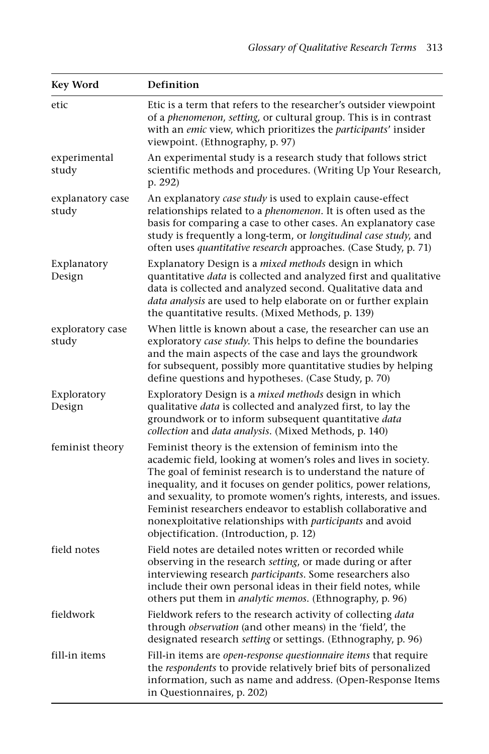| <b>Key Word</b>           | Definition                                                                                                                                                                                                                                                                                                                                                                                                                                                                                                   |
|---------------------------|--------------------------------------------------------------------------------------------------------------------------------------------------------------------------------------------------------------------------------------------------------------------------------------------------------------------------------------------------------------------------------------------------------------------------------------------------------------------------------------------------------------|
| etic                      | Etic is a term that refers to the researcher's outsider viewpoint<br>of a <i>phenomenon</i> , <i>setting</i> , or cultural group. This is in contrast<br>with an emic view, which prioritizes the participants' insider<br>viewpoint. (Ethnography, p. 97)                                                                                                                                                                                                                                                   |
| experimental<br>study     | An experimental study is a research study that follows strict<br>scientific methods and procedures. (Writing Up Your Research,<br>p. 292)                                                                                                                                                                                                                                                                                                                                                                    |
| explanatory case<br>study | An explanatory case study is used to explain cause-effect<br>relationships related to a phenomenon. It is often used as the<br>basis for comparing a case to other cases. An explanatory case<br>study is frequently a long-term, or longitudinal case study, and<br>often uses <i>quantitative research</i> approaches. (Case Study, p. 71)                                                                                                                                                                 |
| Explanatory<br>Design     | Explanatory Design is a mixed methods design in which<br>quantitative <i>data</i> is collected and analyzed first and qualitative<br>data is collected and analyzed second. Qualitative data and<br>data analysis are used to help elaborate on or further explain<br>the quantitative results. (Mixed Methods, p. 139)                                                                                                                                                                                      |
| exploratory case<br>study | When little is known about a case, the researcher can use an<br>exploratory case study. This helps to define the boundaries<br>and the main aspects of the case and lays the groundwork<br>for subsequent, possibly more quantitative studies by helping<br>define questions and hypotheses. (Case Study, p. 70)                                                                                                                                                                                             |
| Exploratory<br>Design     | Exploratory Design is a <i>mixed methods</i> design in which<br>qualitative <i>data</i> is collected and analyzed first, to lay the<br>groundwork or to inform subsequent quantitative data<br>collection and data analysis. (Mixed Methods, p. 140)                                                                                                                                                                                                                                                         |
| feminist theory           | Feminist theory is the extension of feminism into the<br>academic field, looking at women's roles and lives in society.<br>The goal of feminist research is to understand the nature of<br>inequality, and it focuses on gender politics, power relations,<br>and sexuality, to promote women's rights, interests, and issues.<br>Feminist researchers endeavor to establish collaborative and<br>nonexploitative relationships with <i>participants</i> and avoid<br>objectification. (Introduction, p. 12) |
| field notes               | Field notes are detailed notes written or recorded while<br>observing in the research setting, or made during or after<br>interviewing research participants. Some researchers also<br>include their own personal ideas in their field notes, while<br>others put them in <i>analytic memos</i> . (Ethnography, p. 96)                                                                                                                                                                                       |
| fieldwork                 | Fieldwork refers to the research activity of collecting <i>data</i><br>through <i>observation</i> (and other means) in the 'field', the<br>designated research setting or settings. (Ethnography, p. 96)                                                                                                                                                                                                                                                                                                     |
| fill-in items             | Fill-in items are open-response questionnaire items that require<br>the respondents to provide relatively brief bits of personalized<br>information, such as name and address. (Open-Response Items<br>in Questionnaires, p. 202)                                                                                                                                                                                                                                                                            |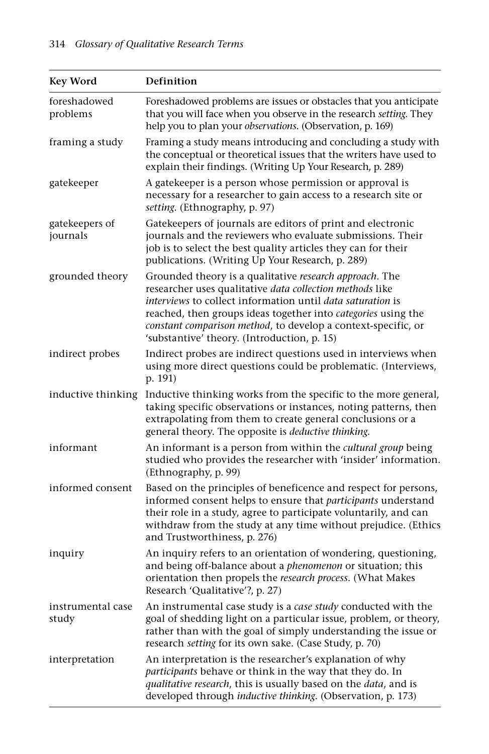| <b>Key Word</b>            | Definition                                                                                                                                                                                                                                                                                                                                                                |
|----------------------------|---------------------------------------------------------------------------------------------------------------------------------------------------------------------------------------------------------------------------------------------------------------------------------------------------------------------------------------------------------------------------|
| foreshadowed<br>problems   | Foreshadowed problems are issues or obstacles that you anticipate<br>that you will face when you observe in the research setting. They<br>help you to plan your observations. (Observation, p. 169)                                                                                                                                                                       |
| framing a study            | Framing a study means introducing and concluding a study with<br>the conceptual or theoretical issues that the writers have used to<br>explain their findings. (Writing Up Your Research, p. 289)                                                                                                                                                                         |
| gatekeeper                 | A gatekeeper is a person whose permission or approval is<br>necessary for a researcher to gain access to a research site or<br>setting. (Ethnography, p. 97)                                                                                                                                                                                                              |
| gatekeepers of<br>journals | Gatekeepers of journals are editors of print and electronic<br>journals and the reviewers who evaluate submissions. Their<br>job is to select the best quality articles they can for their<br>publications. (Writing Up Your Research, p. 289)                                                                                                                            |
| grounded theory            | Grounded theory is a qualitative research approach. The<br>researcher uses qualitative data collection methods like<br>interviews to collect information until data saturation is<br>reached, then groups ideas together into <i>categories</i> using the<br>constant comparison method, to develop a context-specific, or<br>'substantive' theory. (Introduction, p. 15) |
| indirect probes            | Indirect probes are indirect questions used in interviews when<br>using more direct questions could be problematic. (Interviews,<br>p. 191)                                                                                                                                                                                                                               |
| inductive thinking         | Inductive thinking works from the specific to the more general,<br>taking specific observations or instances, noting patterns, then<br>extrapolating from them to create general conclusions or a<br>general theory. The opposite is <i>deductive thinking</i> .                                                                                                          |
| informant                  | An informant is a person from within the <i>cultural group</i> being<br>studied who provides the researcher with 'insider' information.<br>(Ethnography, p. 99)                                                                                                                                                                                                           |
| informed consent           | Based on the principles of beneficence and respect for persons,<br>informed consent helps to ensure that participants understand<br>their role in a study, agree to participate voluntarily, and can<br>withdraw from the study at any time without prejudice. (Ethics<br>and Trustworthiness, p. 276)                                                                    |
| inquiry                    | An inquiry refers to an orientation of wondering, questioning,<br>and being off-balance about a <i>phenomenon</i> or situation; this<br>orientation then propels the research process. (What Makes<br>Research 'Qualitative'?, p. 27)                                                                                                                                     |
| instrumental case<br>study | An instrumental case study is a <i>case study</i> conducted with the<br>goal of shedding light on a particular issue, problem, or theory,<br>rather than with the goal of simply understanding the issue or<br>research <i>setting</i> for its own sake. (Case Study, p. 70)                                                                                              |
| interpretation             | An interpretation is the researcher's explanation of why<br><i>participants</i> behave or think in the way that they do. In<br>qualitative research, this is usually based on the <i>data</i> , and is<br>developed through inductive thinking. (Observation, p. 173)                                                                                                     |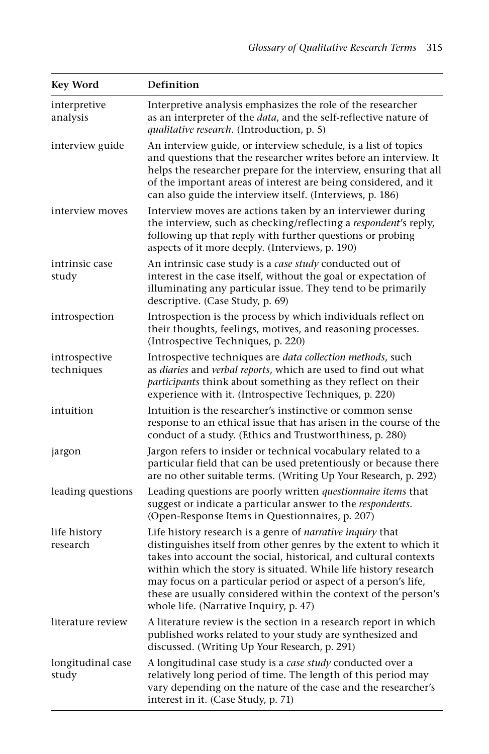| <b>Key Word</b>             | Definition                                                                                                                                                                                                                                                                                                                                                                                                                                           |
|-----------------------------|------------------------------------------------------------------------------------------------------------------------------------------------------------------------------------------------------------------------------------------------------------------------------------------------------------------------------------------------------------------------------------------------------------------------------------------------------|
| interpretive<br>analysis    | Interpretive analysis emphasizes the role of the researcher<br>as an interpreter of the <i>data</i> , and the self-reflective nature of<br>qualitative research. (Introduction, p. 5)                                                                                                                                                                                                                                                                |
| interview guide             | An interview guide, or interview schedule, is a list of topics<br>and questions that the researcher writes before an interview. It<br>helps the researcher prepare for the interview, ensuring that all<br>of the important areas of interest are being considered, and it<br>can also guide the interview itself. (Interviews, p. 186)                                                                                                              |
| interview moves             | Interview moves are actions taken by an interviewer during<br>the interview, such as checking/reflecting a respondent's reply,<br>following up that reply with further questions or probing<br>aspects of it more deeply. (Interviews, p. 190)                                                                                                                                                                                                       |
| intrinsic case<br>study     | An intrinsic case study is a case study conducted out of<br>interest in the case itself, without the goal or expectation of<br>illuminating any particular issue. They tend to be primarily<br>descriptive. (Case Study, p. 69)                                                                                                                                                                                                                      |
| introspection               | Introspection is the process by which individuals reflect on<br>their thoughts, feelings, motives, and reasoning processes.<br>(Introspective Techniques, p. 220)                                                                                                                                                                                                                                                                                    |
| introspective<br>techniques | Introspective techniques are <i>data collection methods</i> , such<br>as diaries and verbal reports, which are used to find out what<br>participants think about something as they reflect on their<br>experience with it. (Introspective Techniques, p. 220)                                                                                                                                                                                        |
| intuition                   | Intuition is the researcher's instinctive or common sense<br>response to an ethical issue that has arisen in the course of the<br>conduct of a study. (Ethics and Trustworthiness, p. 280)                                                                                                                                                                                                                                                           |
| jargon                      | Jargon refers to insider or technical vocabulary related to a<br>particular field that can be used pretentiously or because there<br>are no other suitable terms. (Writing Up Your Research, p. 292)                                                                                                                                                                                                                                                 |
| leading questions           | Leading questions are poorly written <i>questionnaire items</i> that<br>suggest or indicate a particular answer to the respondents.<br>(Open-Response Items in Questionnaires, p. 207)                                                                                                                                                                                                                                                               |
| life history<br>research    | Life history research is a genre of narrative inquiry that<br>distinguishes itself from other genres by the extent to which it<br>takes into account the social, historical, and cultural contexts<br>within which the story is situated. While life history research<br>may focus on a particular period or aspect of a person's life,<br>these are usually considered within the context of the person's<br>whole life. (Narrative Inquiry, p. 47) |
| literature review           | A literature review is the section in a research report in which<br>published works related to your study are synthesized and<br>discussed. (Writing Up Your Research, p. 291)                                                                                                                                                                                                                                                                       |
| longitudinal case<br>study  | A longitudinal case study is a case study conducted over a<br>relatively long period of time. The length of this period may<br>vary depending on the nature of the case and the researcher's<br>interest in it. (Case Study, p. 71)                                                                                                                                                                                                                  |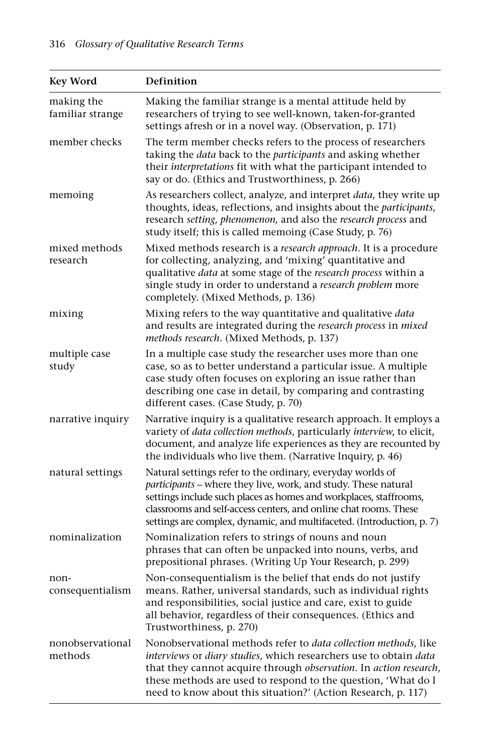| Key Word                       | Definition                                                                                                                                                                                                                                                                                                                                                          |
|--------------------------------|---------------------------------------------------------------------------------------------------------------------------------------------------------------------------------------------------------------------------------------------------------------------------------------------------------------------------------------------------------------------|
| making the<br>familiar strange | Making the familiar strange is a mental attitude held by<br>researchers of trying to see well-known, taken-for-granted<br>settings afresh or in a novel way. (Observation, p. 171)                                                                                                                                                                                  |
| member checks                  | The term member checks refers to the process of researchers<br>taking the <i>data</i> back to the <i>participants</i> and asking whether<br>their interpretations fit with what the participant intended to<br>say or do. (Ethics and Trustworthiness, p. 266)                                                                                                      |
| memoing                        | As researchers collect, analyze, and interpret data, they write up<br>thoughts, ideas, reflections, and insights about the participants,<br>research setting, phenomenon, and also the research process and<br>study itself; this is called memoing (Case Study, p. 76)                                                                                             |
| mixed methods<br>research      | Mixed methods research is a <i>research approach</i> . It is a procedure<br>for collecting, analyzing, and 'mixing' quantitative and<br>qualitative <i>data</i> at some stage of the <i>research process</i> within a<br>single study in order to understand a research problem more<br>completely. (Mixed Methods, p. 136)                                         |
| mixing                         | Mixing refers to the way quantitative and qualitative <i>data</i><br>and results are integrated during the research process in mixed<br>methods research. (Mixed Methods, p. 137)                                                                                                                                                                                   |
| multiple case<br>study         | In a multiple case study the researcher uses more than one<br>case, so as to better understand a particular issue. A multiple<br>case study often focuses on exploring an issue rather than<br>describing one case in detail, by comparing and contrasting<br>different cases. (Case Study, p. 70)                                                                  |
| narrative inquiry              | Narrative inquiry is a qualitative research approach. It employs a<br>variety of data collection methods, particularly interview, to elicit,<br>document, and analyze life experiences as they are recounted by<br>the individuals who live them. (Narrative Inquiry, p. 46)                                                                                        |
| natural settings               | Natural settings refer to the ordinary, everyday worlds of<br><i>participants</i> – where they live, work, and study. These natural<br>settings include such places as homes and workplaces, staffrooms,<br>classrooms and self-access centers, and online chat rooms. These<br>settings are complex, dynamic, and multifaceted. (Introduction, p. 7)               |
| nominalization                 | Nominalization refers to strings of nouns and noun<br>phrases that can often be unpacked into nouns, verbs, and<br>prepositional phrases. (Writing Up Your Research, p. 299)                                                                                                                                                                                        |
| non-<br>consequentialism       | Non-consequentialism is the belief that ends do not justify<br>means. Rather, universal standards, such as individual rights<br>and responsibilities, social justice and care, exist to guide<br>all behavior, regardless of their consequences. (Ethics and<br>Trustworthiness, p. 270)                                                                            |
| nonobservational<br>methods    | Nonobservational methods refer to <i>data collection methods</i> , like<br>interviews or diary studies, which researchers use to obtain data<br>that they cannot acquire through <i>observation</i> . In <i>action research</i> ,<br>these methods are used to respond to the question, 'What do I<br>need to know about this situation?' (Action Research, p. 117) |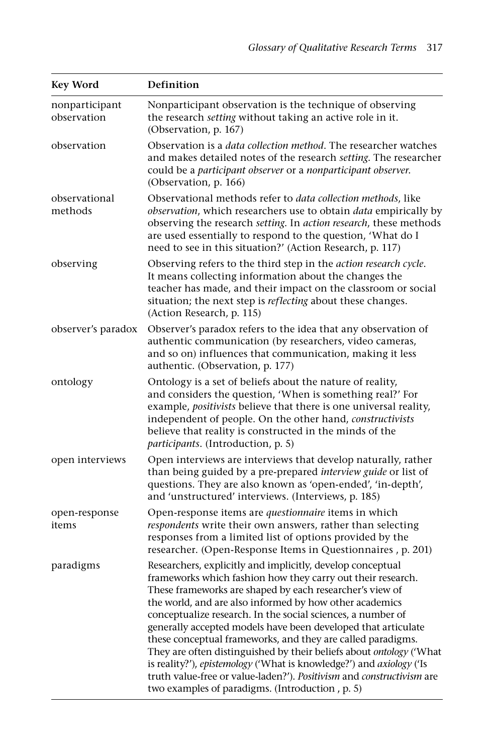| <b>Key Word</b>               | Definition                                                                                                                                                                                                                                                                                                                                                                                                                                                                                                                                                                                                                                                                                                                 |
|-------------------------------|----------------------------------------------------------------------------------------------------------------------------------------------------------------------------------------------------------------------------------------------------------------------------------------------------------------------------------------------------------------------------------------------------------------------------------------------------------------------------------------------------------------------------------------------------------------------------------------------------------------------------------------------------------------------------------------------------------------------------|
| nonparticipant<br>observation | Nonparticipant observation is the technique of observing<br>the research <i>setting</i> without taking an active role in it.<br>(Observation, p. 167)                                                                                                                                                                                                                                                                                                                                                                                                                                                                                                                                                                      |
| observation                   | Observation is a <i>data collection method</i> . The researcher watches<br>and makes detailed notes of the research setting. The researcher<br>could be a participant observer or a nonparticipant observer.<br>(Observation, p. 166)                                                                                                                                                                                                                                                                                                                                                                                                                                                                                      |
| observational<br>methods      | Observational methods refer to data collection methods, like<br>observation, which researchers use to obtain data empirically by<br>observing the research setting. In action research, these methods<br>are used essentially to respond to the question, 'What do I<br>need to see in this situation?' (Action Research, p. 117)                                                                                                                                                                                                                                                                                                                                                                                          |
| observing                     | Observing refers to the third step in the <i>action research cycle</i> .<br>It means collecting information about the changes the<br>teacher has made, and their impact on the classroom or social<br>situation; the next step is reflecting about these changes.<br>(Action Research, p. 115)                                                                                                                                                                                                                                                                                                                                                                                                                             |
| observer's paradox            | Observer's paradox refers to the idea that any observation of<br>authentic communication (by researchers, video cameras,<br>and so on) influences that communication, making it less<br>authentic. (Observation, p. 177)                                                                                                                                                                                                                                                                                                                                                                                                                                                                                                   |
| ontology                      | Ontology is a set of beliefs about the nature of reality,<br>and considers the question, 'When is something real?' For<br>example, positivists believe that there is one universal reality,<br>independent of people. On the other hand, constructivists<br>believe that reality is constructed in the minds of the<br>participants. (Introduction, p. 5)                                                                                                                                                                                                                                                                                                                                                                  |
| open interviews               | Open interviews are interviews that develop naturally, rather<br>than being guided by a pre-prepared interview guide or list of<br>questions. They are also known as 'open-ended', 'in-depth',<br>and 'unstructured' interviews. (Interviews, p. 185)                                                                                                                                                                                                                                                                                                                                                                                                                                                                      |
| open-response<br>items        | Open-response items are <i>questionnaire</i> items in which<br>respondents write their own answers, rather than selecting<br>responses from a limited list of options provided by the<br>researcher. (Open-Response Items in Questionnaires, p. 201)                                                                                                                                                                                                                                                                                                                                                                                                                                                                       |
| paradigms                     | Researchers, explicitly and implicitly, develop conceptual<br>frameworks which fashion how they carry out their research.<br>These frameworks are shaped by each researcher's view of<br>the world, and are also informed by how other academics<br>conceptualize research. In the social sciences, a number of<br>generally accepted models have been developed that articulate<br>these conceptual frameworks, and they are called paradigms.<br>They are often distinguished by their beliefs about ontology ('What<br>is reality?'), epistemology ('What is knowledge?') and axiology ('Is<br>truth value-free or value-laden?'). Positivism and constructivism are<br>two examples of paradigms. (Introduction, p. 5) |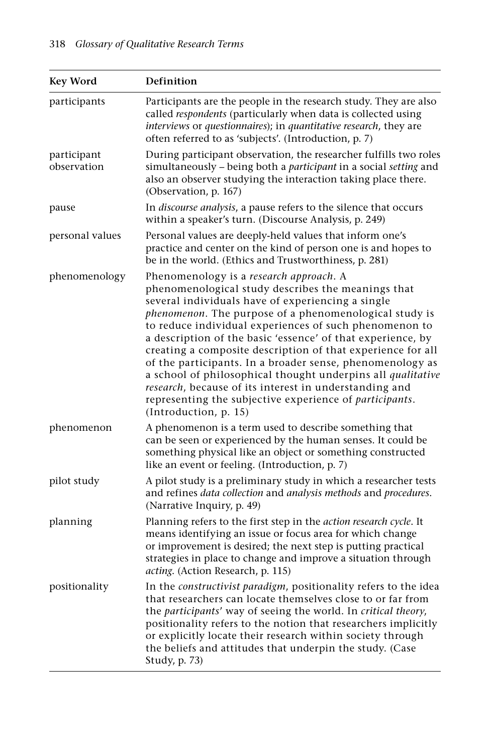| <b>Key Word</b>            | Definition                                                                                                                                                                                                                                                                                                                                                                                                                                                                                                                                                                                                                                                                     |
|----------------------------|--------------------------------------------------------------------------------------------------------------------------------------------------------------------------------------------------------------------------------------------------------------------------------------------------------------------------------------------------------------------------------------------------------------------------------------------------------------------------------------------------------------------------------------------------------------------------------------------------------------------------------------------------------------------------------|
| participants               | Participants are the people in the research study. They are also<br>called respondents (particularly when data is collected using<br><i>interviews</i> or <i>questionnaires</i> ); in <i>quantitative research</i> , they are<br>often referred to as 'subjects'. (Introduction, p. 7)                                                                                                                                                                                                                                                                                                                                                                                         |
| participant<br>observation | During participant observation, the researcher fulfills two roles<br>simultaneously - being both a <i>participant</i> in a social setting and<br>also an observer studying the interaction taking place there.<br>(Observation, p. 167)                                                                                                                                                                                                                                                                                                                                                                                                                                        |
| pause                      | In <i>discourse analysis</i> , a pause refers to the silence that occurs<br>within a speaker's turn. (Discourse Analysis, p. 249)                                                                                                                                                                                                                                                                                                                                                                                                                                                                                                                                              |
| personal values            | Personal values are deeply-held values that inform one's<br>practice and center on the kind of person one is and hopes to<br>be in the world. (Ethics and Trustworthiness, p. 281)                                                                                                                                                                                                                                                                                                                                                                                                                                                                                             |
| phenomenology              | Phenomenology is a research approach. A<br>phenomenological study describes the meanings that<br>several individuals have of experiencing a single<br>phenomenon. The purpose of a phenomenological study is<br>to reduce individual experiences of such phenomenon to<br>a description of the basic 'essence' of that experience, by<br>creating a composite description of that experience for all<br>of the participants. In a broader sense, phenomenology as<br>a school of philosophical thought underpins all qualitative<br>research, because of its interest in understanding and<br>representing the subjective experience of participants.<br>(Introduction, p. 15) |
| phenomenon                 | A phenomenon is a term used to describe something that<br>can be seen or experienced by the human senses. It could be<br>something physical like an object or something constructed<br>like an event or feeling. (Introduction, p. 7)                                                                                                                                                                                                                                                                                                                                                                                                                                          |
| pilot study                | A pilot study is a preliminary study in which a researcher tests<br>and refines data collection and analysis methods and procedures.<br>(Narrative Inquiry, p. 49)                                                                                                                                                                                                                                                                                                                                                                                                                                                                                                             |
| planning                   | Planning refers to the first step in the action research cycle. It<br>means identifying an issue or focus area for which change<br>or improvement is desired; the next step is putting practical<br>strategies in place to change and improve a situation through<br>acting. (Action Research, p. 115)                                                                                                                                                                                                                                                                                                                                                                         |
| positionality              | In the <i>constructivist paradigm</i> , positionality refers to the idea<br>that researchers can locate themselves close to or far from<br>the participants' way of seeing the world. In critical theory,<br>positionality refers to the notion that researchers implicitly<br>or explicitly locate their research within society through<br>the beliefs and attitudes that underpin the study. (Case<br>Study, p. 73)                                                                                                                                                                                                                                                         |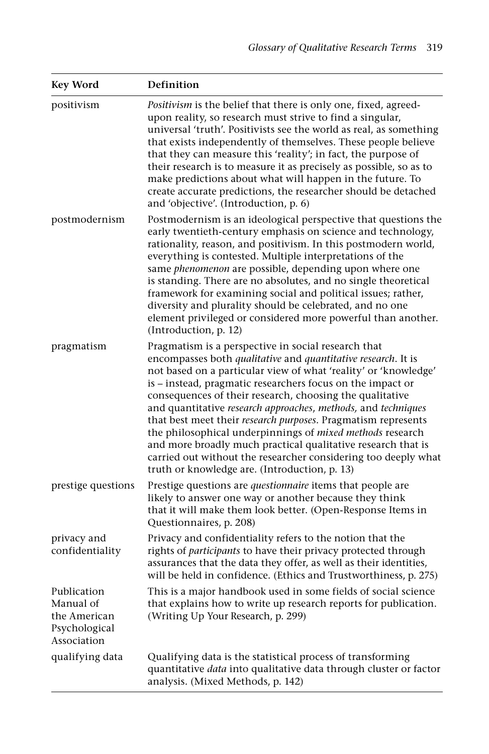| <b>Key Word</b>                                                          | Definition                                                                                                                                                                                                                                                                                                                                                                                                                                                                                                                                                                                                                                                                                          |
|--------------------------------------------------------------------------|-----------------------------------------------------------------------------------------------------------------------------------------------------------------------------------------------------------------------------------------------------------------------------------------------------------------------------------------------------------------------------------------------------------------------------------------------------------------------------------------------------------------------------------------------------------------------------------------------------------------------------------------------------------------------------------------------------|
| positivism                                                               | Positivism is the belief that there is only one, fixed, agreed-<br>upon reality, so research must strive to find a singular,<br>universal 'truth'. Positivists see the world as real, as something<br>that exists independently of themselves. These people believe<br>that they can measure this 'reality'; in fact, the purpose of<br>their research is to measure it as precisely as possible, so as to<br>make predictions about what will happen in the future. To<br>create accurate predictions, the researcher should be detached<br>and 'objective'. (Introduction, p. 6)                                                                                                                  |
| postmodernism                                                            | Postmodernism is an ideological perspective that questions the<br>early twentieth-century emphasis on science and technology,<br>rationality, reason, and positivism. In this postmodern world,<br>everything is contested. Multiple interpretations of the<br>same phenomenon are possible, depending upon where one<br>is standing. There are no absolutes, and no single theoretical<br>framework for examining social and political issues; rather,<br>diversity and plurality should be celebrated, and no one<br>element privileged or considered more powerful than another.<br>(Introduction, p. 12)                                                                                        |
| pragmatism                                                               | Pragmatism is a perspective in social research that<br>encompasses both qualitative and quantitative research. It is<br>not based on a particular view of what 'reality' or 'knowledge'<br>is - instead, pragmatic researchers focus on the impact or<br>consequences of their research, choosing the qualitative<br>and quantitative research approaches, methods, and techniques<br>that best meet their research purposes. Pragmatism represents<br>the philosophical underpinnings of mixed methods research<br>and more broadly much practical qualitative research that is<br>carried out without the researcher considering too deeply what<br>truth or knowledge are. (Introduction, p. 13) |
| prestige questions                                                       | Prestige questions are questionnaire items that people are<br>likely to answer one way or another because they think<br>that it will make them look better. (Open-Response Items in<br>Questionnaires, p. 208)                                                                                                                                                                                                                                                                                                                                                                                                                                                                                      |
| privacy and<br>confidentiality                                           | Privacy and confidentiality refers to the notion that the<br>rights of participants to have their privacy protected through<br>assurances that the data they offer, as well as their identities,<br>will be held in confidence. (Ethics and Trustworthiness, p. 275)                                                                                                                                                                                                                                                                                                                                                                                                                                |
| Publication<br>Manual of<br>the American<br>Psychological<br>Association | This is a major handbook used in some fields of social science<br>that explains how to write up research reports for publication.<br>(Writing Up Your Research, p. 299)                                                                                                                                                                                                                                                                                                                                                                                                                                                                                                                             |
| qualifying data                                                          | Qualifying data is the statistical process of transforming<br>quantitative <i>data</i> into qualitative data through cluster or factor<br>analysis. (Mixed Methods, p. 142)                                                                                                                                                                                                                                                                                                                                                                                                                                                                                                                         |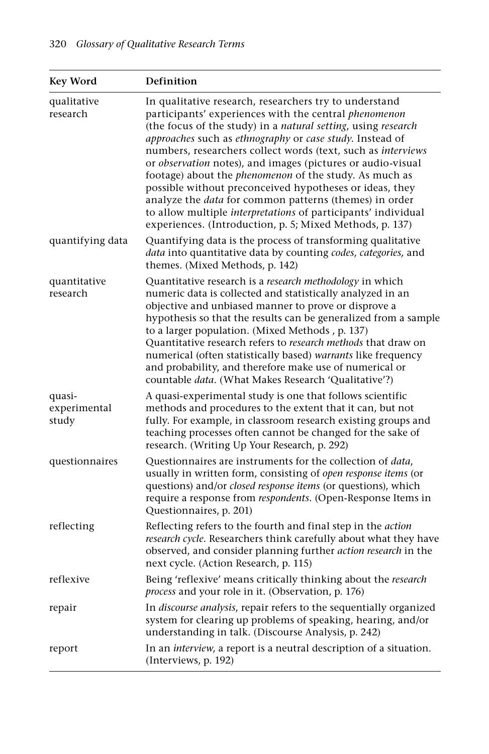| Key Word                        | Definition                                                                                                                                                                                                                                                                                                                                                                                                                                                                                                                                                                                                                                                                                                   |
|---------------------------------|--------------------------------------------------------------------------------------------------------------------------------------------------------------------------------------------------------------------------------------------------------------------------------------------------------------------------------------------------------------------------------------------------------------------------------------------------------------------------------------------------------------------------------------------------------------------------------------------------------------------------------------------------------------------------------------------------------------|
| qualitative<br>research         | In qualitative research, researchers try to understand<br>participants' experiences with the central <i>phenomenon</i><br>(the focus of the study) in a natural setting, using research<br>approaches such as ethnography or case study. Instead of<br>numbers, researchers collect words (text, such as interviews<br>or observation notes), and images (pictures or audio-visual<br>footage) about the <i>phenomenon</i> of the study. As much as<br>possible without preconceived hypotheses or ideas, they<br>analyze the <i>data</i> for common patterns (themes) in order<br>to allow multiple interpretations of participants' individual<br>experiences. (Introduction, p. 5; Mixed Methods, p. 137) |
| quantifying data                | Quantifying data is the process of transforming qualitative<br>data into quantitative data by counting codes, categories, and<br>themes. (Mixed Methods, p. 142)                                                                                                                                                                                                                                                                                                                                                                                                                                                                                                                                             |
| quantitative<br>research        | Quantitative research is a research methodology in which<br>numeric data is collected and statistically analyzed in an<br>objective and unbiased manner to prove or disprove a<br>hypothesis so that the results can be generalized from a sample<br>to a larger population. (Mixed Methods, p. 137)<br>Quantitative research refers to research methods that draw on<br>numerical (often statistically based) warrants like frequency<br>and probability, and therefore make use of numerical or<br>countable <i>data</i> . (What Makes Research 'Qualitative'?)                                                                                                                                            |
| quasi-<br>experimental<br>study | A quasi-experimental study is one that follows scientific<br>methods and procedures to the extent that it can, but not<br>fully. For example, in classroom research existing groups and<br>teaching processes often cannot be changed for the sake of<br>research. (Writing Up Your Research, p. 292)                                                                                                                                                                                                                                                                                                                                                                                                        |
| questionnaires                  | Questionnaires are instruments for the collection of <i>data</i> ,<br>usually in written form, consisting of open response items (or<br>questions) and/or closed response items (or questions), which<br>require a response from respondents. (Open-Response Items in<br>Questionnaires, p. 201)                                                                                                                                                                                                                                                                                                                                                                                                             |
| reflecting                      | Reflecting refers to the fourth and final step in the action<br>research cycle. Researchers think carefully about what they have<br>observed, and consider planning further action research in the<br>next cycle. (Action Research, p. 115)                                                                                                                                                                                                                                                                                                                                                                                                                                                                  |
| reflexive                       | Being 'reflexive' means critically thinking about the research<br>process and your role in it. (Observation, p. 176)                                                                                                                                                                                                                                                                                                                                                                                                                                                                                                                                                                                         |
| repair                          | In discourse analysis, repair refers to the sequentially organized<br>system for clearing up problems of speaking, hearing, and/or<br>understanding in talk. (Discourse Analysis, p. 242)                                                                                                                                                                                                                                                                                                                                                                                                                                                                                                                    |
| report                          | In an interview, a report is a neutral description of a situation.<br>(Interviews, p. 192)                                                                                                                                                                                                                                                                                                                                                                                                                                                                                                                                                                                                                   |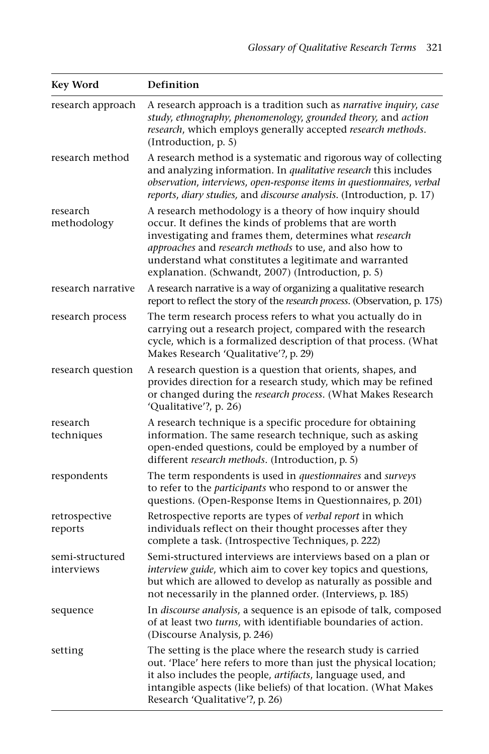| <b>Key Word</b>               | Definition                                                                                                                                                                                                                                                                                                                                               |
|-------------------------------|----------------------------------------------------------------------------------------------------------------------------------------------------------------------------------------------------------------------------------------------------------------------------------------------------------------------------------------------------------|
| research approach             | A research approach is a tradition such as <i>narrative inquiry</i> , case<br>study, ethnography, phenomenology, grounded theory, and action<br>research, which employs generally accepted research methods.<br>(Introduction, p. 5)                                                                                                                     |
| research method               | A research method is a systematic and rigorous way of collecting<br>and analyzing information. In qualitative research this includes<br>observation, interviews, open-response items in questionnaires, verbal<br>reports, diary studies, and discourse analysis. (Introduction, p. 17)                                                                  |
| research<br>methodology       | A research methodology is a theory of how inquiry should<br>occur. It defines the kinds of problems that are worth<br>investigating and frames them, determines what research<br>approaches and research methods to use, and also how to<br>understand what constitutes a legitimate and warranted<br>explanation. (Schwandt, 2007) (Introduction, p. 5) |
| research narrative            | A research narrative is a way of organizing a qualitative research<br>report to reflect the story of the research process. (Observation, p. 175)                                                                                                                                                                                                         |
| research process              | The term research process refers to what you actually do in<br>carrying out a research project, compared with the research<br>cycle, which is a formalized description of that process. (What<br>Makes Research 'Qualitative'?, p. 29)                                                                                                                   |
| research question             | A research question is a question that orients, shapes, and<br>provides direction for a research study, which may be refined<br>or changed during the research process. (What Makes Research<br>'Qualitative'?, p. 26)                                                                                                                                   |
| research<br>techniques        | A research technique is a specific procedure for obtaining<br>information. The same research technique, such as asking<br>open-ended questions, could be employed by a number of<br>different research methods. (Introduction, p. 5)                                                                                                                     |
| respondents                   | The term respondents is used in <i>questionnaires</i> and <i>surveys</i><br>to refer to the <i>participants</i> who respond to or answer the<br>questions. (Open-Response Items in Questionnaires, p. 201)                                                                                                                                               |
| retrospective<br>reports      | Retrospective reports are types of verbal report in which<br>individuals reflect on their thought processes after they<br>complete a task. (Introspective Techniques, p. 222)                                                                                                                                                                            |
| semi-structured<br>interviews | Semi-structured interviews are interviews based on a plan or<br>interview guide, which aim to cover key topics and questions,<br>but which are allowed to develop as naturally as possible and<br>not necessarily in the planned order. (Interviews, p. 185)                                                                                             |
| sequence                      | In <i>discourse analysis</i> , a sequence is an episode of talk, composed<br>of at least two turns, with identifiable boundaries of action.<br>(Discourse Analysis, p. 246)                                                                                                                                                                              |
| setting                       | The setting is the place where the research study is carried<br>out. 'Place' here refers to more than just the physical location;<br>it also includes the people, <i>artifacts</i> , language used, and<br>intangible aspects (like beliefs) of that location. (What Makes<br>Research 'Qualitative'?, p. 26)                                            |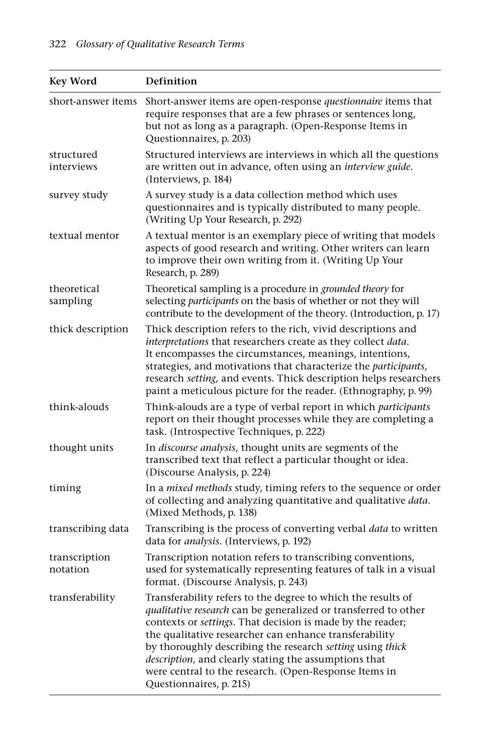| <b>Key Word</b>           | Definition                                                                                                                                                                                                                                                                                                                                                                                                                                                        |
|---------------------------|-------------------------------------------------------------------------------------------------------------------------------------------------------------------------------------------------------------------------------------------------------------------------------------------------------------------------------------------------------------------------------------------------------------------------------------------------------------------|
| short-answer items        | Short-answer items are open-response <i>questionnaire</i> items that<br>require responses that are a few phrases or sentences long,<br>but not as long as a paragraph. (Open-Response Items in<br>Questionnaires, p. 203)                                                                                                                                                                                                                                         |
| structured<br>interviews  | Structured interviews are interviews in which all the questions<br>are written out in advance, often using an interview guide.<br>(Interviews, p. 184)                                                                                                                                                                                                                                                                                                            |
| survey study              | A survey study is a data collection method which uses<br>questionnaires and is typically distributed to many people.<br>(Writing Up Your Research, p. 292)                                                                                                                                                                                                                                                                                                        |
| textual mentor            | A textual mentor is an exemplary piece of writing that models<br>aspects of good research and writing. Other writers can learn<br>to improve their own writing from it. (Writing Up Your<br>Research, p. 289)                                                                                                                                                                                                                                                     |
| theoretical<br>sampling   | Theoretical sampling is a procedure in grounded theory for<br>selecting <i>participants</i> on the basis of whether or not they will<br>contribute to the development of the theory. (Introduction, p. 17)                                                                                                                                                                                                                                                        |
| thick description         | Thick description refers to the rich, vivid descriptions and<br>interpretations that researchers create as they collect data.<br>It encompasses the circumstances, meanings, intentions,<br>strategies, and motivations that characterize the <i>participants</i> ,<br>research setting, and events. Thick description helps researchers<br>paint a meticulous picture for the reader. (Ethnography, p. 99)                                                       |
| think-alouds              | Think-alouds are a type of verbal report in which <i>participants</i><br>report on their thought processes while they are completing a<br>task. (Introspective Techniques, p. 222)                                                                                                                                                                                                                                                                                |
| thought units             | In <i>discourse analysis</i> , thought units are segments of the<br>transcribed text that reflect a particular thought or idea.<br>(Discourse Analysis, p. 224)                                                                                                                                                                                                                                                                                                   |
| timing                    | In a <i>mixed methods</i> study, timing refers to the sequence or order<br>of collecting and analyzing quantitative and qualitative data.<br>(Mixed Methods, p. 138)                                                                                                                                                                                                                                                                                              |
| transcribing data         | Transcribing is the process of converting verbal <i>data</i> to written<br>data for <i>analysis</i> . (Interviews, p. 192)                                                                                                                                                                                                                                                                                                                                        |
| transcription<br>notation | Transcription notation refers to transcribing conventions,<br>used for systematically representing features of talk in a visual<br>format. (Discourse Analysis, p. 243)                                                                                                                                                                                                                                                                                           |
| transferability           | Transferability refers to the degree to which the results of<br>qualitative research can be generalized or transferred to other<br>contexts or settings. That decision is made by the reader;<br>the qualitative researcher can enhance transferability<br>by thoroughly describing the research setting using thick<br>description, and clearly stating the assumptions that<br>were central to the research. (Open-Response Items in<br>Questionnaires, p. 215) |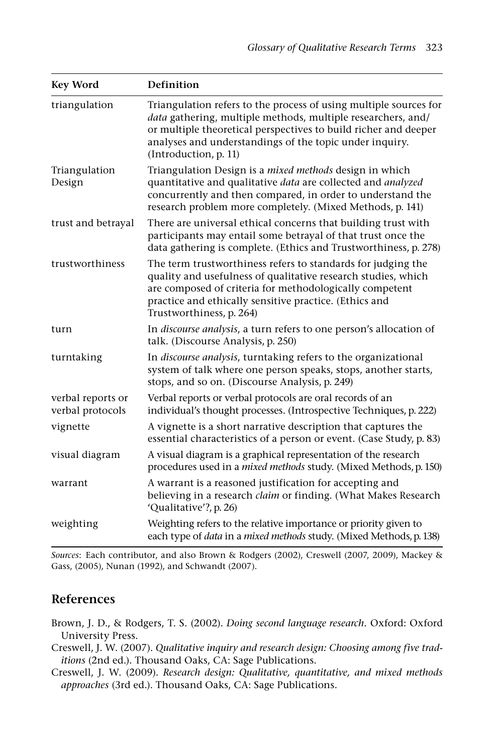| <b>Key Word</b>                       | Definition                                                                                                                                                                                                                                                                               |
|---------------------------------------|------------------------------------------------------------------------------------------------------------------------------------------------------------------------------------------------------------------------------------------------------------------------------------------|
| triangulation                         | Triangulation refers to the process of using multiple sources for<br>data gathering, multiple methods, multiple researchers, and/<br>or multiple theoretical perspectives to build richer and deeper<br>analyses and understandings of the topic under inquiry.<br>(Introduction, p. 11) |
| Triangulation<br>Design               | Triangulation Design is a <i>mixed methods</i> design in which<br>quantitative and qualitative data are collected and analyzed<br>concurrently and then compared, in order to understand the<br>research problem more completely. (Mixed Methods, p. 141)                                |
| trust and betrayal                    | There are universal ethical concerns that building trust with<br>participants may entail some betrayal of that trust once the<br>data gathering is complete. (Ethics and Trustworthiness, p. 278)                                                                                        |
| trustworthiness                       | The term trustworthiness refers to standards for judging the<br>quality and usefulness of qualitative research studies, which<br>are composed of criteria for methodologically competent<br>practice and ethically sensitive practice. (Ethics and<br>Trustworthiness, p. 264)           |
| turn                                  | In <i>discourse analysis</i> , a turn refers to one person's allocation of<br>talk. (Discourse Analysis, p. 250)                                                                                                                                                                         |
| turntaking                            | In <i>discourse analysis</i> , turntaking refers to the organizational<br>system of talk where one person speaks, stops, another starts,<br>stops, and so on. (Discourse Analysis, p. 249)                                                                                               |
| verbal reports or<br>verbal protocols | Verbal reports or verbal protocols are oral records of an<br>individual's thought processes. (Introspective Techniques, p. 222)                                                                                                                                                          |
| vignette                              | A vignette is a short narrative description that captures the<br>essential characteristics of a person or event. (Case Study, p. 83)                                                                                                                                                     |
| visual diagram                        | A visual diagram is a graphical representation of the research<br>procedures used in a <i>mixed methods</i> study. (Mixed Methods, p. 150)                                                                                                                                               |
| warrant                               | A warrant is a reasoned justification for accepting and<br>believing in a research claim or finding. (What Makes Research<br>'Qualitative'?, p. 26)                                                                                                                                      |
| weighting                             | Weighting refers to the relative importance or priority given to<br>each type of <i>data</i> in a <i>mixed methods</i> study. (Mixed Methods, p. 138)                                                                                                                                    |

*Sources*: Each contributor, and also Brown & Rodgers (2002), Creswell (2007, 2009), Mackey & Gass, (2005), Nunan (1992), and Schwandt (2007).

## **References**

- Brown, J. D., & Rodgers, T. S. (2002). *Doing second language research.* Oxford: Oxford University Press.
- Creswell, J. W. (2007). *Qualitative inquiry and research design: Choosing among five traditions* (2nd ed.). Thousand Oaks, CA: Sage Publications.
- Creswell, J. W. (2009). *Research design: Qualitative, quantitative, and mixed methods approaches* (3rd ed.). Thousand Oaks, CA: Sage Publications.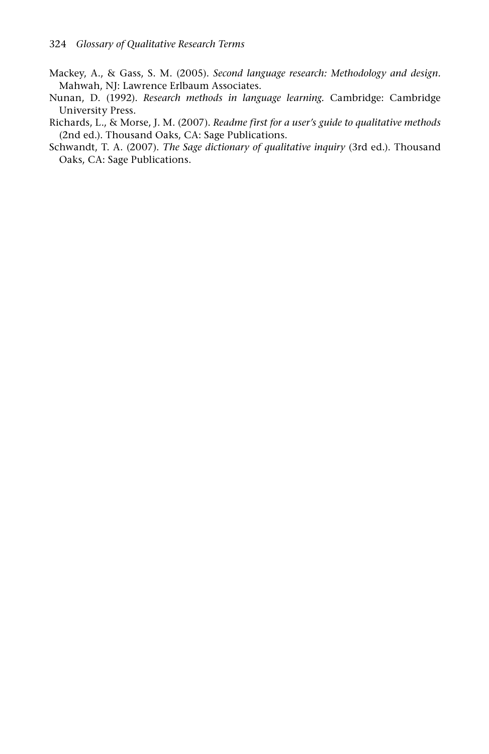- Mackey, A., & Gass, S. M. (2005). *Second language research: Methodology and design.* Mahwah, NJ: Lawrence Erlbaum Associates.
- Nunan, D. (1992). *Research methods in language learning.* Cambridge: Cambridge University Press.
- Richards, L., & Morse, J. M. (2007). *Readme first for a user's guide to qualitative methods* (2nd ed.). Thousand Oaks, CA: Sage Publications.
- Schwandt, T. A. (2007). *The Sage dictionary of qualitative inquiry* (3rd ed.). Thousand Oaks, CA: Sage Publications.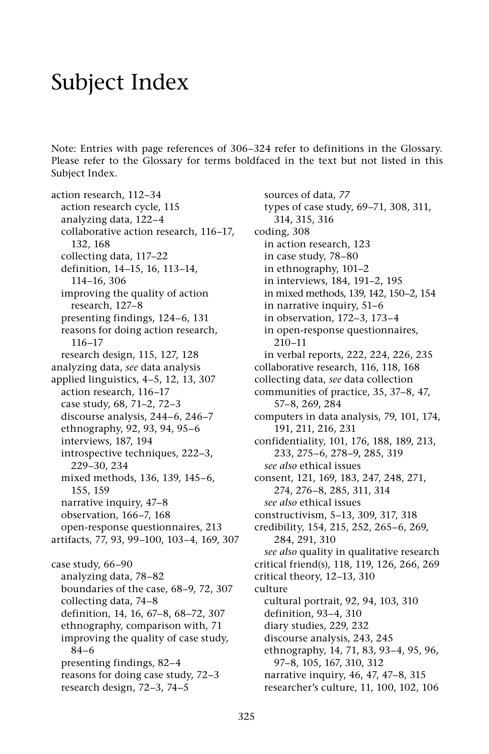## Subject Index

Note: Entries with page references of 306–324 refer to definitions in the Glossary. Please refer to the Glossary for terms boldfaced in the text but not listed in this Subject Index.

action research, 112–34 action research cycle, 115 analyzing data, 122–4 collaborative action research, 116–17, 132, 168 collecting data, 117–22 definition, 14–15, 16, 113–14, 114–16, 306 improving the quality of action research, 127–8 presenting findings, 124–6, 131 reasons for doing action research, 116–17 research design, 115, 127, 128 analyzing data, *see* data analysis applied linguistics, 4–5, 12, 13, 307 action research, 116–17 case study, 68, 71–2, 72–3 discourse analysis, 244–6, 246–7 ethnography, 92, 93, 94, 95–6 interviews, 187, 194 introspective techniques, 222–3, 229–30, 234 mixed methods, 136, 139, 145–6, 155, 159 narrative inquiry, 47–8 observation, 166–7, 168 open-response questionnaires, 213 artifacts, 77, 93, 99–100, 103–4, 169, 307 case study, 66–90 analyzing data, 78–82 boundaries of the case, 68–9, 72, 307 collecting data, 74–8 definition, 14, 16, 67–8, 68–72, 307 ethnography, comparison with, 71 improving the quality of case study, 84–6 presenting findings, 82–4 reasons for doing case study, 72–3 research design, 72–3, 74–5

sources of data, *77* types of case study, 69–71, 308, 311, 314, 315, 316 coding, 308 in action research, 123 in case study, 78–80 in ethnography, 101–2 in interviews, 184, 191–2, 195 in mixed methods, 139, 142, 150–2, 154 in narrative inquiry, 51–6 in observation, 172–3, 173–4 in open-response questionnaires, 210–11 in verbal reports, 222, 224, 226, 235 collaborative research, 116, 118, 168 collecting data, *see* data collection communities of practice, 35, 37–8, 47, 57–8, 269, 284 computers in data analysis, 79, 101, 174, 191, 211, 216, 231 confidentiality, 101, 176, 188, 189, 213, 233, 275–6, 278–9, 285, 319 *see also* ethical issues consent, 121, 169, 183, 247, 248, 271, 274, 276–8, 285, 311, 314 *see also* ethical issues constructivism, 5–13, 309, 317, 318 credibility, 154, 215, 252, 265–6, 269, 284, 291, 310 *see also* quality in qualitative research critical friend(s), 118, 119, 126, 266, 269 critical theory, 12–13, 310 culture cultural portrait, 92, 94, 103, 310 definition, 93–4, 310 diary studies, 229, 232 discourse analysis, 243, 245 ethnography, 14, 71, 83, 93–4, 95, 96, 97–8, 105, 167, 310, 312 narrative inquiry, 46, 47, 47–8, 315 researcher's culture, 11, 100, 102, 106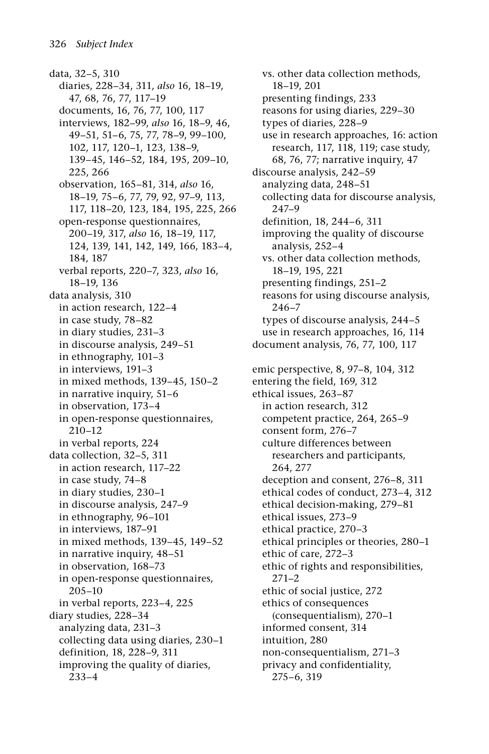data, 32–5, 310 diaries, 228–34, 311, *also* 16, 18–19, 47, 68, 76, 77, 117–19 documents, 16, 76, 77, 100, 117 interviews, 182–99, *also* 16, 18–9, 46, 49–51, 51–6, 75, 77, 78–9, 99–100, 102, 117, 120–1, 123, 138–9, 139–45, 146–52, 184, 195, 209–10, 225, 266 observation, 165–81, 314, *also* 16, 18–19, 75–6, 77, 79, 92, 97–9, 113, 117, 118–20, 123, 184, 195, 225, 266 open-response questionnaires, 200–19, 317, *also* 16, 18–19, 117, 124, 139, 141, 142, 149, 166, 183–4, 184, 187 verbal reports, 220–7, 323, *also* 16, 18–19, 136 data analysis, 310 in action research, 122–4 in case study, 78–82 in diary studies, 231–3 in discourse analysis, 249–51 in ethnography, 101–3 in interviews, 191–3 in mixed methods, 139–45, 150–2 in narrative inquiry, 51–6 in observation, 173–4 in open-response questionnaires, 210–12 in verbal reports, 224 data collection, 32–5, 311 in action research, 117–22 in case study, 74–8 in diary studies, 230–1 in discourse analysis, 247–9 in ethnography, 96–101 in interviews, 187–91 in mixed methods, 139–45, 149–52 in narrative inquiry, 48–51 in observation, 168–73 in open-response questionnaires, 205–10 in verbal reports, 223–4, 225 diary studies, 228–34 analyzing data, 231–3 collecting data using diaries, 230–1 definition, 18, 228–9, 311 improving the quality of diaries, 233–4

vs. other data collection methods, 18–19, 201 presenting findings, 233 reasons for using diaries, 229–30 types of diaries, 228–9 use in research approaches, 16: action research, 117, 118, 119; case study, 68, 76, 77; narrative inquiry, 47 discourse analysis, 242–59 analyzing data, 248–51 collecting data for discourse analysis, 247–9 definition, 18, 244–6, 311 improving the quality of discourse analysis, 252–4 vs. other data collection methods, 18–19, 195, 221 presenting findings, 251–2 reasons for using discourse analysis, 246–7 types of discourse analysis, 244–5 use in research approaches, 16, 114 document analysis, 76, 77, 100, 117 emic perspective, 8, 97–8, 104, 312 entering the field, 169, 312 ethical issues, 263–87 in action research, 312 competent practice, 264, 265–9 consent form, 276–7 culture differences between researchers and participants, 264, 277 deception and consent, 276–8, 311 ethical codes of conduct, 273–4, 312 ethical decision-making, 279–81 ethical issues, 273–9 ethical practice, 270–3 ethical principles or theories, 280–1 ethic of care, 272–3 ethic of rights and responsibilities, 271–2 ethic of social justice, 272 ethics of consequences (consequentialism), 270–1 informed consent, 314 intuition, 280 non-consequentialism, 271–3 privacy and confidentiality, 275–6, 319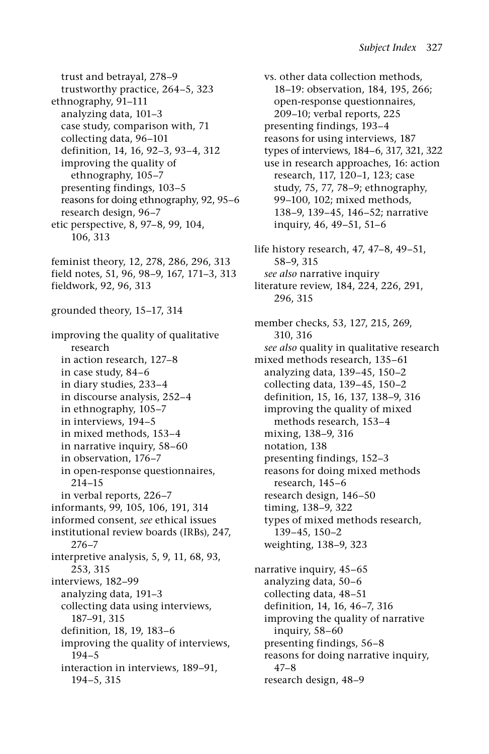trust and betrayal, 278–9 trustworthy practice, 264–5, 323 ethnography, 91–111 analyzing data, 101–3 case study, comparison with, 71 collecting data, 96–101 definition, 14, 16, 92–3, 93–4, 312 improving the quality of ethnography, 105–7 presenting findings, 103–5 reasons for doing ethnography, 92, 95–6 research design, 96–7 etic perspective, 8, 97–8, 99, 104, 106, 313 feminist theory, 12, 278, 286, 296, 313 field notes, 51, 96, 98–9, 167, 171–3, 313 fieldwork, 92, 96, 313 grounded theory, 15–17, 314 improving the quality of qualitative research in action research, 127–8 in case study, 84–6 in diary studies, 233–4 in discourse analysis, 252–4 in ethnography, 105–7 in interviews, 194–5 in mixed methods, 153–4 in narrative inquiry, 58–60 in observation, 176–7 in open-response questionnaires, 214–15 in verbal reports, 226–7 informants, 99, 105, 106, 191, 314 informed consent, *see* ethical issues institutional review boards (IRBs), 247, 276–7 interpretive analysis, 5, 9, 11, 68, 93, 253, 315 interviews, 182–99 analyzing data, 191–3 collecting data using interviews, 187–91, 315 definition, 18, 19, 183–6 improving the quality of interviews, 194–5 interaction in interviews, 189–91, 194–5, 315

vs. other data collection methods, 18–19: observation, 184, 195, 266; open-response questionnaires, 209–10; verbal reports, 225 presenting findings, 193–4 reasons for using interviews, 187 types of interviews, 184–6, 317, 321, 322 use in research approaches, 16: action research, 117, 120–1, 123; case study, 75, 77, 78–9; ethnography, 99–100, 102; mixed methods, 138–9, 139–45, 146–52; narrative inquiry, 46, 49–51, 51–6 life history research, 47, 47–8, 49–51, 58–9, 315 *see also* narrative inquiry literature review, 184, 224, 226, 291, 296, 315 member checks, 53, 127, 215, 269, 310, 316 *see also* quality in qualitative research mixed methods research, 135–61 analyzing data, 139–45, 150–2 collecting data, 139–45, 150–2 definition, 15, 16, 137, 138–9, 316 improving the quality of mixed methods research, 153–4 mixing, 138–9, 316 notation, 138 presenting findings, 152–3 reasons for doing mixed methods research, 145–6 research design, 146–50 timing, 138–9, 322 types of mixed methods research, 139–45, 150–2 weighting, 138–9, 323 narrative inquiry, 45–65 analyzing data, 50–6 collecting data, 48–51 definition, 14, 16, 46–7, 316 improving the quality of narrative inquiry, 58–60 presenting findings, 56–8 reasons for doing narrative inquiry, 47–8 research design, 48–9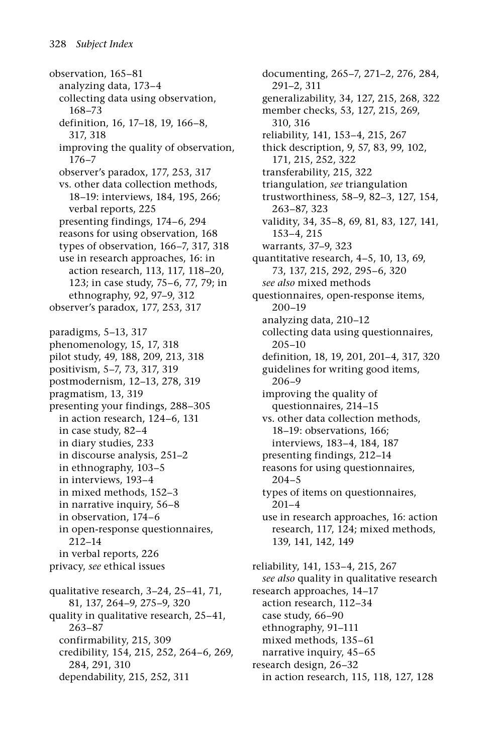observation, 165–81 analyzing data, 173–4 collecting data using observation, 168–73 definition, 16, 17–18, 19, 166–8, 317, 318 improving the quality of observation, 176–7 observer's paradox, 177, 253, 317 vs. other data collection methods, 18–19: interviews, 184, 195, 266; verbal reports, 225 presenting findings, 174–6, 294 reasons for using observation, 168 types of observation, 166–7, 317, 318 use in research approaches, 16: in action research, 113, 117, 118–20, 123; in case study, 75–6, 77, 79; in ethnography, 92, 97–9, 312 observer's paradox, 177, 253, 317 paradigms, 5–13, 317 phenomenology, 15, 17, 318 pilot study, 49, 188, 209, 213, 318 positivism, 5–7, 73, 317, 319 postmodernism, 12–13, 278, 319 pragmatism, 13, 319 presenting your findings, 288–305 in action research, 124–6, 131 in case study, 82–4 in diary studies, 233 in discourse analysis, 251–2 in ethnography, 103–5 in interviews, 193–4 in mixed methods, 152–3 in narrative inquiry, 56–8 in observation, 174–6 in open-response questionnaires, 212–14 in verbal reports, 226 privacy, *see* ethical issues qualitative research, 3–24, 25–41, 71, 81, 137, 264–9, 275–9, 320 quality in qualitative research, 25–41, 263–87 confirmability, 215, 309 credibility, 154, 215, 252, 264–6, 269, 284, 291, 310 dependability, 215, 252, 311

documenting, 265–7, 271–2, 276, 284, 291–2, 311 generalizability, 34, 127, 215, 268, 322 member checks, 53, 127, 215, 269, 310, 316 reliability, 141, 153–4, 215, 267 thick description, 9, 57, 83, 99, 102, 171, 215, 252, 322 transferability, 215, 322 triangulation, *see* triangulation trustworthiness, 58–9, 82–3, 127, 154, 263–87, 323 validity, 34, 35–8, 69, 81, 83, 127, 141, 153–4, 215 warrants, 37–9, 323 quantitative research, 4–5, 10, 13, 69, 73, 137, 215, 292, 295–6, 320 *see also* mixed methods questionnaires, open-response items, 200–19 analyzing data, 210–12 collecting data using questionnaires, 205–10 definition, 18, 19, 201, 201–4, 317, 320 guidelines for writing good items, 206–9 improving the quality of questionnaires, 214–15 vs. other data collection methods, 18–19: observations, 166; interviews, 183–4, 184, 187 presenting findings, 212–14 reasons for using questionnaires, 204–5 types of items on questionnaires, 201–4 use in research approaches, 16: action research, 117, 124; mixed methods, 139, 141, 142, 149 reliability, 141, 153–4, 215, 267 *see also* quality in qualitative research research approaches, 14–17 action research, 112–34 case study, 66–90 ethnography, 91–111 mixed methods, 135–61 narrative inquiry, 45–65 research design, 26–32

in action research, 115, 118, 127, 128